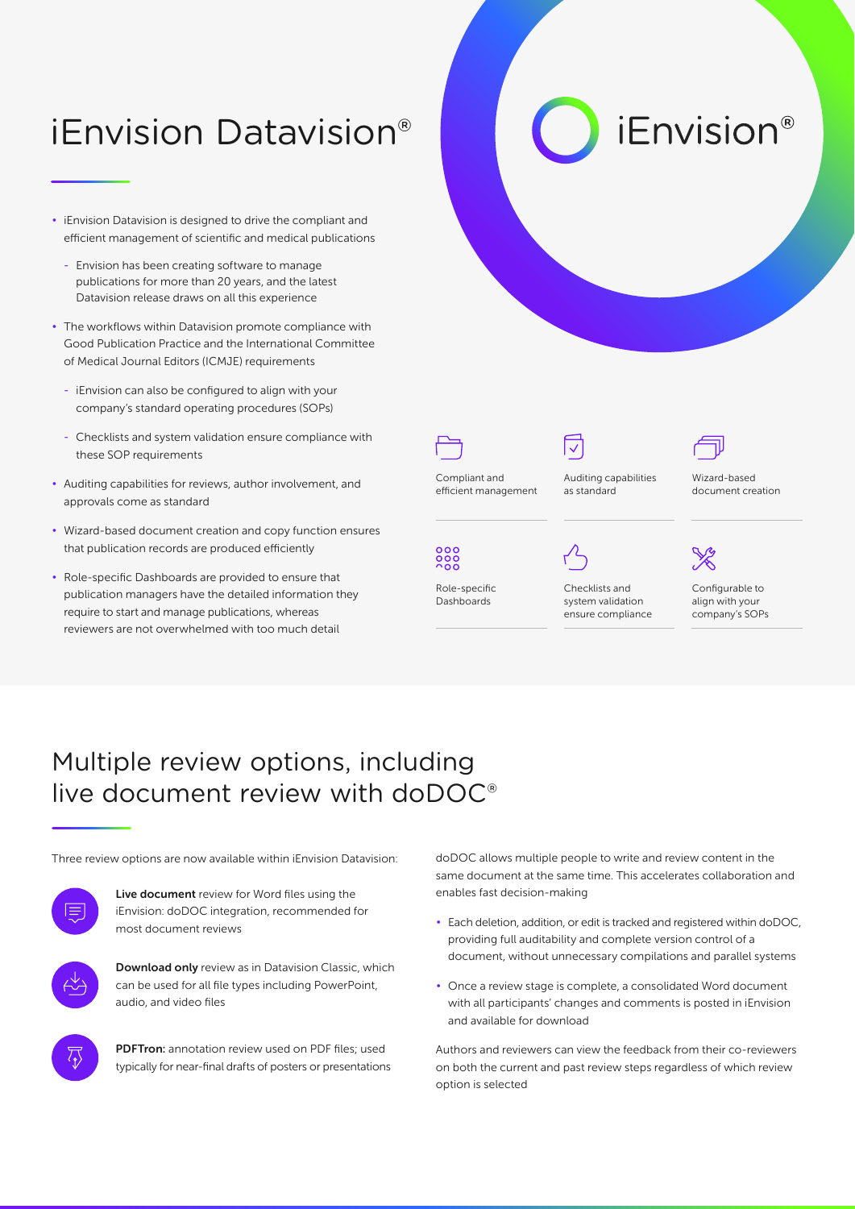## iEnvision Datavision®

- iEnvision Datavision is designed to drive the compliant and efficient management of scientific and medical publications
	- Envision has been creating software to manage publications for more than 20 years, and the latest Datavision release draws on all this experience
- The workflows within Datavision promote compliance with Good Publication Practice and the International Committee of Medical Journal Editors (ICMJE) requirements
	- iEnvision can also be configured to align with your company's standard operating procedures (SOPs)
	- Checklists and system validation ensure compliance with these SOP requirements
- Auditing capabilities for reviews, author involvement, and approvals come as standard
- Wizard-based document creation and copy function ensures that publication records are produced efficiently
- Role-specific Dashboards are provided to ensure that publication managers have the detailed information they require to start and manage publications, whereas reviewers are not overwhelmed with too much detail





Compliant and efficient management

Role-specific Dashboards

 $000$ 



Auditing capabilities as standard

Wizard-based document creation

*iEnvision®* 



Checklists and system validation ensure compliance

Configurable to align with your company's SOPs

## Multiple review options, including live document review with doDOC®



Live document review for Word files using the iEnvision: doDOC integration, recommended for most document reviews



Download only review as in Datavision Classic, which can be used for all file types including PowerPoint, audio, and video files



PDFTron: annotation review used on PDF files; used typically for near-final drafts of posters or presentations

Three review options are now available within iEnvision Datavision: doDOC allows multiple people to write and review content in the same document at the same time. This accelerates collaboration and enables fast decision‑making

- Each deletion, addition, or edit is tracked and registered within doDOC, providing full auditability and complete version control of a document, without unnecessary compilations and parallel systems
- Once a review stage is complete, a consolidated Word document with all participants' changes and comments is posted in iEnvision and available for download

Authors and reviewers can view the feedback from their co‑reviewers on both the current and past review steps regardless of which review option is selected